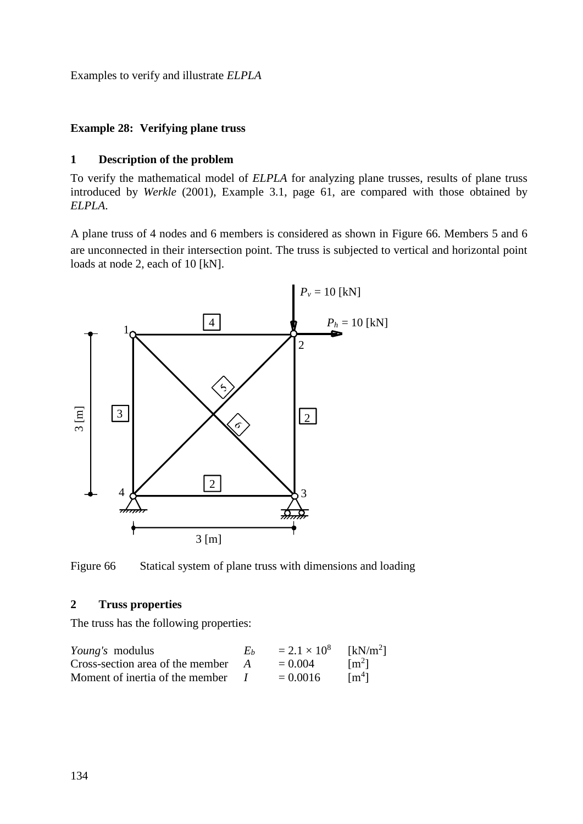Examples to verify and illustrate *ELPLA*

## **Example 28: Verifying plane truss**

## **1 Description of the problem**

To verify the mathematical model of *ELPLA* for analyzing plane trusses, results of plane truss introduced by *Werkle* (2001), Example 3.1, page 61, are compared with those obtained by *ELPLA*.

A plane truss of 4 nodes and 6 members is considered as shown in [Figure 66.](#page-0-0) Members 5 and 6 are unconnected in their intersection point. The truss is subjected to vertical and horizontal point loads at node 2, each of 10 [kN].



<span id="page-0-0"></span>Figure 66 Statical system of plane truss with dimensions and loading

## **2 Truss properties**

The truss has the following properties:

| <i>Young's</i> modulus           | Eh | $= 2.1 \times 10^8$ | [kN/m <sup>2</sup> ] |
|----------------------------------|----|---------------------|----------------------|
| Cross-section area of the member |    | $= 0.004$           | $\lceil m^2 \rceil$  |
| Moment of inertia of the member  |    | $= 0.0016$          | $\mathrm{Im}^4$      |